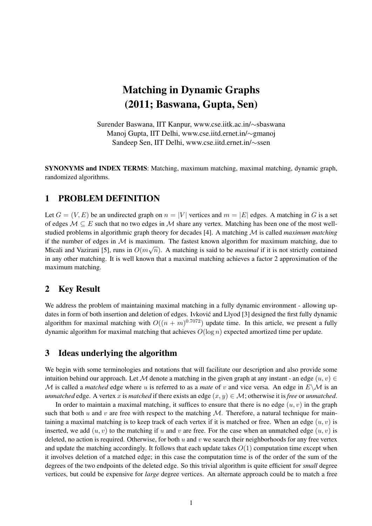# Matching in Dynamic Graphs (2011; Baswana, Gupta, Sen)

Surender Baswana, IIT Kanpur, www.cse.iitk.ac.in/∼sbaswana Manoj Gupta, IIT Delhi, www.cse.iitd.ernet.in/∼gmanoj Sandeep Sen, IIT Delhi, www.cse.iitd.ernet.in/∼ssen

SYNONYMS and INDEX TERMS: Matching, maximum matching, maximal matching, dynamic graph, randomized algorithms.

## 1 PROBLEM DEFINITION

Let  $G = (V, E)$  be an undirected graph on  $n = |V|$  vertices and  $m = |E|$  edges. A matching in G is a set of edges  $M \subseteq E$  such that no two edges in M share any vertex. Matching has been one of the most wellstudied problems in algorithmic graph theory for decades [4]. A matching M is called *maximum matching* if the number of edges in  $\mathcal M$  is maximum. The fastest known algorithm for maximum matching, due to Micali and Vazirani [5], runs in  $O(m\sqrt{n})$ . A matching is said to be *maximal* if it is not strictly contained in any other matching. It is well known that a maximal matching achieves a factor 2 approximation of the maximum matching.

### 2 Key Result

We address the problem of maintaining maximal matching in a fully dynamic environment - allowing updates in form of both insertion and deletion of edges. Ivković and Llyod [3] designed the first fully dynamic algorithm for maximal matching with  $O((n + m)^{0.7072})$  update time. In this article, we present a fully dynamic algorithm for maximal matching that achieves  $O(\log n)$  expected amortized time per update.

## 3 Ideas underlying the algorithm

We begin with some terminologies and notations that will facilitate our description and also provide some intuition behind our approach. Let M denote a matching in the given graph at any instant - an edge  $(u, v) \in$ M is called a *matched* edge where u is referred to as a *mate* of v and vice versa. An edge in  $E\setminus\mathcal{M}$  is an *unmatched* edge. A vertex x is *matched* if there exists an edge  $(x, y) \in M$ ; otherwise it is *free* or *unmatched*.

In order to maintain a maximal matching, it suffices to ensure that there is no edge  $(u, v)$  in the graph such that both u and v are free with respect to the matching  $M$ . Therefore, a natural technique for maintaining a maximal matching is to keep track of each vertex if it is matched or free. When an edge  $(u, v)$  is inserted, we add  $(u, v)$  to the matching if u and v are free. For the case when an unmatched edge  $(u, v)$  is deleted, no action is required. Otherwise, for both u and v we search their neighborhoods for any free vertex and update the matching accordingly. It follows that each update takes  $O(1)$  computation time except when it involves deletion of a matched edge; in this case the computation time is of the order of the sum of the degrees of the two endpoints of the deleted edge. So this trivial algorithm is quite efficient for *small* degree vertices, but could be expensive for *large* degree vertices. An alternate approach could be to match a free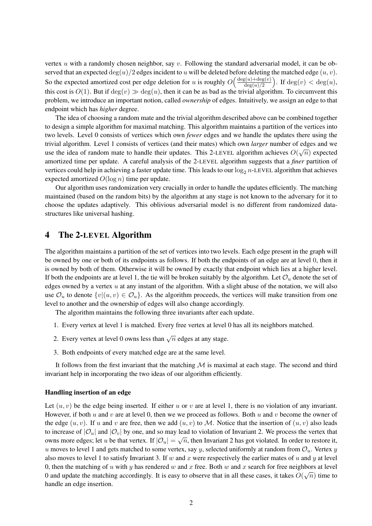vertex  $u$  with a randomly chosen neighbor, say  $v$ . Following the standard adversarial model, it can be observed that an expected  $\deg(u)/2$  edges incident to u will be deleted before deleting the matched edge  $(u, v)$ . So the expected amortized cost per edge deletion for u is roughly  $O\left(\frac{\deg(u) + \deg(v)}{\deg(u)/2}\right)$  $\frac{\text{d}g(u) + \text{deg}(v)}{\text{deg}(u)/2}$ . If  $\text{deg}(v) < \text{deg}(u)$ , this cost is  $O(1)$ . But if  $deg(v) \gg deg(u)$ , then it can be as bad as the trivial algorithm. To circumvent this problem, we introduce an important notion, called *ownership* of edges. Intuitively, we assign an edge to that endpoint which has *higher* degree.

The idea of choosing a random mate and the trivial algorithm described above can be combined together to design a simple algorithm for maximal matching. This algorithm maintains a partition of the vertices into two levels. Level 0 consists of vertices which own *fewer* edges and we handle the updates there using the trivial algorithm. Level 1 consists of vertices (and their mates) which own *larger* number of edges and we √ use the idea of random mate to handle their updates. This 2-LEVEL algorithm achieves  $O(\sqrt{n})$  expected amortized time per update. A careful analysis of the 2-LEVEL algorithm suggests that a *finer* partition of vertices could help in achieving a faster update time. This leads to our  $\log_2 n$ -LEVEL algorithm that achieves expected amortized  $O(\log n)$  time per update.

Our algorithm uses randomization very crucially in order to handle the updates efficiently. The matching maintained (based on the random bits) by the algorithm at any stage is not known to the adversary for it to choose the updates adaptively. This oblivious adversarial model is no different from randomized datastructures like universal hashing.

### 4 The 2-LEVEL Algorithm

The algorithm maintains a partition of the set of vertices into two levels. Each edge present in the graph will be owned by one or both of its endpoints as follows. If both the endpoints of an edge are at level 0, then it is owned by both of them. Otherwise it will be owned by exactly that endpoint which lies at a higher level. If both the endpoints are at level 1, the tie will be broken suitably by the algorithm. Let  $\mathcal{O}_u$  denote the set of edges owned by a vertex  $u$  at any instant of the algorithm. With a slight abuse of the notation, we will also use  $\mathcal{O}_u$  to denote  $\{v|(u, v) \in \mathcal{O}_u\}$ . As the algorithm proceeds, the vertices will make transition from one level to another and the ownership of edges will also change accordingly.

The algorithm maintains the following three invariants after each update.

- 1. Every vertex at level 1 is matched. Every free vertex at level 0 has all its neighbors matched.
- 2. Every vertex at level 0 owns less than  $\sqrt{n}$  edges at any stage.
- 3. Both endpoints of every matched edge are at the same level.

It follows from the first invariant that the matching  $M$  is maximal at each stage. The second and third invariant help in incorporating the two ideas of our algorithm efficiently.

#### Handling insertion of an edge

Let  $(u, v)$  be the edge being inserted. If either u or v are at level 1, there is no violation of any invariant. However, if both u and v are at level 0, then we we proceed as follows. Both u and v become the owner of the edge  $(u, v)$ . If u and v are free, then we add  $(u, v)$  to M. Notice that the insertion of  $(u, v)$  also leads to increase of  $|\mathcal{O}_u|$  and  $|\mathcal{O}_v|$  by one, and so may lead to violation of Invariant 2. We process the vertex that owns more edges; let u be that vertex. If  $|O_u| = \sqrt{n}$ , then Invariant 2 has got violated. In order to restore it, u moves to level 1 and gets matched to some vertex, say y, selected uniformly at random from  $\mathcal{O}_u$ . Vertex y also moves to level 1 to satisfy Invariant 3. If w and x were respectively the earlier mates of u and y at level 0, then the matching of u with y has rendered w and x free. Both w and x search for free neighbors at level 0 and update the matching accordingly. It is easy to observe that in all these cases, it takes  $O(\sqrt{n})$  time to handle an edge insertion.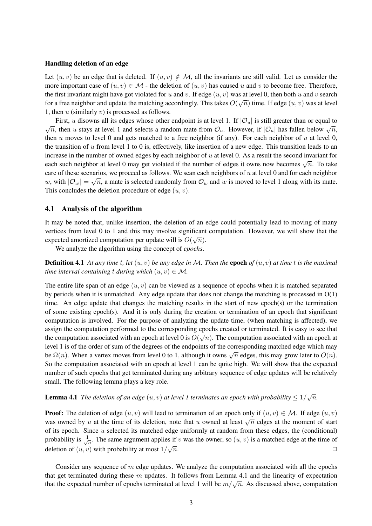#### Handling deletion of an edge

Let  $(u, v)$  be an edge that is deleted. If  $(u, v) \notin M$ , all the invariants are still valid. Let us consider the more important case of  $(u, v) \in \mathcal{M}$  - the deletion of  $(u, v)$  has caused u and v to become free. Therefore, the first invariant might have got violated for u and v. If edge  $(u, v)$  was at level 0, then both u and v search for a free neighbor and update the matching accordingly. This takes  $O(\sqrt{n})$  time. If edge  $(u, v)$  was at level 1, then  $u$  (similarly  $v$ ) is processed as follows.

First, u disowns all its edges whose other endpoint is at level 1. If  $|O_u|$  is still greater than or equal to This, a disowns an its cages whose other endpoint is at level 1. In  $|\mathcal{O}_u|$  is sun greater than or equal to  $\sqrt{n}$ , then u stays at level 1 and selects a random mate from  $\mathcal{O}_u$ . However, if  $|\mathcal{O}_u|$  has fallen be then u moves to level 0 and gets matched to a free neighbor (if any). For each neighbor of u at level 0, the transition of  $u$  from level 1 to 0 is, effectively, like insertion of a new edge. This transition leads to an increase in the number of owned edges by each neighbor of  $u$  at level 0. As a result the second invariant for each such neighbor at level 0 may get violated if the number of edges it owns now becomes  $\sqrt{n}$ . To take care of these scenarios, we proceed as follows. We scan each neighbors of  $u$  at level 0 and for each neighbor w, with  $|\mathcal{O}_w| = \sqrt{n}$ , a mate is selected randomly from  $\mathcal{O}_w$  and w is moved to level 1 along with its mate. This concludes the deletion procedure of edge  $(u, v)$ .

### 4.1 Analysis of the algorithm

It may be noted that, unlike insertion, the deletion of an edge could potentially lead to moving of many vertices from level 0 to 1 and this may involve significant computation. However, we will show that the expected amortized computation per update will is  $O(\sqrt{n})$ .

We analyze the algorithm using the concept of *epochs*.

**Definition 4.1** At any time t, let  $(u, v)$  be any edge in M. Then the **epoch** of  $(u, v)$  at time t is the maximal *time interval containing* t *during which*  $(u, v) \in M$ .

The entire life span of an edge  $(u, v)$  can be viewed as a sequence of epochs when it is matched separated by periods when it is unmatched. Any edge update that does not change the matching is processed in O(1) time. An edge update that changes the matching results in the start of new epoch(s) or the termination of some existing epoch(s). And it is only during the creation or termination of an epoch that significant computation is involved. For the purpose of analyzing the update time, (when matching is affected), we assign the computation performed to the corresponding epochs created or terminated. It is easy to see that the computation associated with an epoch at level 0 is  $O(\sqrt{n})$ . The computation associated with an epoch at level 1 is of the order of sum of the degrees of the endpoints of the corresponding matched edge which may be  $\Omega(n)$ . When a vertex moves from level 0 to 1, although it owns  $\sqrt{n}$  edges, this may grow later to  $O(n)$ . So the computation associated with an epoch at level 1 can be quite high. We will show that the expected number of such epochs that get terminated during any arbitrary sequence of edge updates will be relatively small. The following lemma plays a key role.

# **Lemma 4.1** The deletion of an edge  $(u, v)$  at level 1 terminates an epoch with probability  $\leq 1/\sqrt{n}$ .

**Proof:** The deletion of edge  $(u, v)$  will lead to termination of an epoch only if  $(u, v) \in M$ . If edge  $(u, v)$ was owned by u at the time of its deletion, note that u owned at least  $\sqrt{n}$  edges at the moment of start of its epoch. Since  $u$  selected its matched edge uniformly at random from these edges, the (conditional) probability is  $\frac{1}{\sqrt{2}}$  $\overline{n}$ . The same argument applies if v was the owner, so  $(u, v)$  is a matched edge at the time of deletion of  $(u, v)$  with probability at most  $1/\sqrt{n}$ .  $\overline{n}$ .

Consider any sequence of  $m$  edge updates. We analyze the computation associated with all the epochs that get terminated during these  $m$  updates. It follows from Lemma 4.1 and the linearity of expectation that the expected number of epochs terminated at level 1 will be  $m/\sqrt{n}$ . As discussed above, computation that the expected number of epochs terminated at level 1 will be  $m/\sqrt{n}$ . As discussed above, computation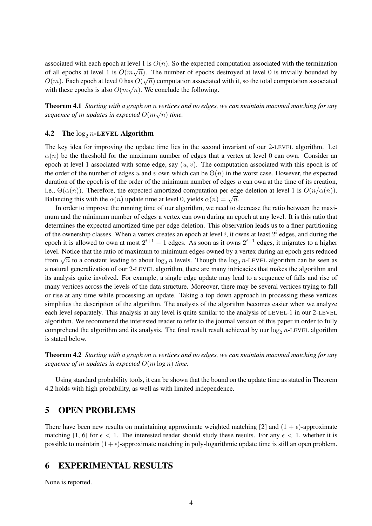associated with each epoch at level 1 is  $O(n)$ . So the expected computation associated with the termination of all epochs at level 1 is  $O(m\sqrt{n})$ . The number of epochs destroyed at level 0 is trivially bounded by  $O(m)$ . Each epoch at level 0 has  $O(\sqrt{n})$  computation associated with it, so the total computation associated  $O(m)$ .  $\mathcal{O}(m)$ . Each epoch at level 0 has  $\mathcal{O}(\sqrt{n})$  computation associated with these epochs is also  $O(m\sqrt{n})$ . We conclude the following.

Theorem 4.1 *Starting with a graph on* n *vertices and no edges, we can maintain maximal matching for any* √ sequence of  $m$  updates in expected  $O(m\sqrt{n})$  time.

### **4.2** The  $\log_2 n$ -LEVEL Algorithm

The key idea for improving the update time lies in the second invariant of our 2-LEVEL algorithm. Let  $\alpha(n)$  be the threshold for the maximum number of edges that a vertex at level 0 can own. Consider an epoch at level 1 associated with some edge, say  $(u, v)$ . The computation associated with this epoch is of the order of the number of edges u and v own which can be  $\Theta(n)$  in the worst case. However, the expected duration of the epoch is of the order of the minimum number of edges  $u$  can own at the time of its creation, i.e.,  $\Theta(\alpha(n))$ . Therefore, the expected amortized computation per edge deletion at level 1 is  $O(n/\alpha(n))$ . Balancing this with the  $\alpha(n)$  update time at level 0, yields  $\alpha(n) = \sqrt{n}$ .

In order to improve the running time of our algorithm, we need to decrease the ratio between the maximum and the minimum number of edges a vertex can own during an epoch at any level. It is this ratio that determines the expected amortized time per edge deletion. This observation leads us to a finer partitioning of the ownership classes. When a vertex creates an epoch at level  $i$ , it owns at least  $2^i$  edges, and during the epoch it is allowed to own at most  $2^{i+1} - 1$  edges. As soon as it owns  $2^{i+1}$  edges, it migrates to a higher level. Notice that the ratio of maximum to minimum edges owned by a vertex during an epoch gets reduced from  $\sqrt{n}$  to a constant leading to about  $\log_2 n$  levels. Though the  $\log_2 n$ -LEVEL algorithm can be seen as a natural generalization of our 2-LEVEL algorithm, there are many intricacies that makes the algorithm and its analysis quite involved. For example, a single edge update may lead to a sequence of falls and rise of many vertices across the levels of the data structure. Moreover, there may be several vertices trying to fall or rise at any time while processing an update. Taking a top down approach in processing these vertices simplifies the description of the algorithm. The analysis of the algorithm becomes easier when we analyze each level separately. This analysis at any level is quite similar to the analysis of LEVEL-1 in our 2-LEVEL algorithm. We recommend the interested reader to refer to the journal version of this paper in order to fully comprehend the algorithm and its analysis. The final result result achieved by our  $\log_2 n$ -LEVEL algorithm is stated below.

Theorem 4.2 *Starting with a graph on* n *vertices and no edges, we can maintain maximal matching for any sequence of* m *updates in expected* O(m log n) *time.*

Using standard probability tools, it can be shown that the bound on the update time as stated in Theorem 4.2 holds with high probability, as well as with limited independence.

## 5 OPEN PROBLEMS

There have been new results on maintaining approximate weighted matching [2] and  $(1 + \epsilon)$ -approximate matching [1, 6] for  $\epsilon < 1$ . The interested reader should study these results. For any  $\epsilon < 1$ , whether it is possible to maintain  $(1 + \epsilon)$ -approximate matching in poly-logarithmic update time is still an open problem.

## 6 EXPERIMENTAL RESULTS

None is reported.